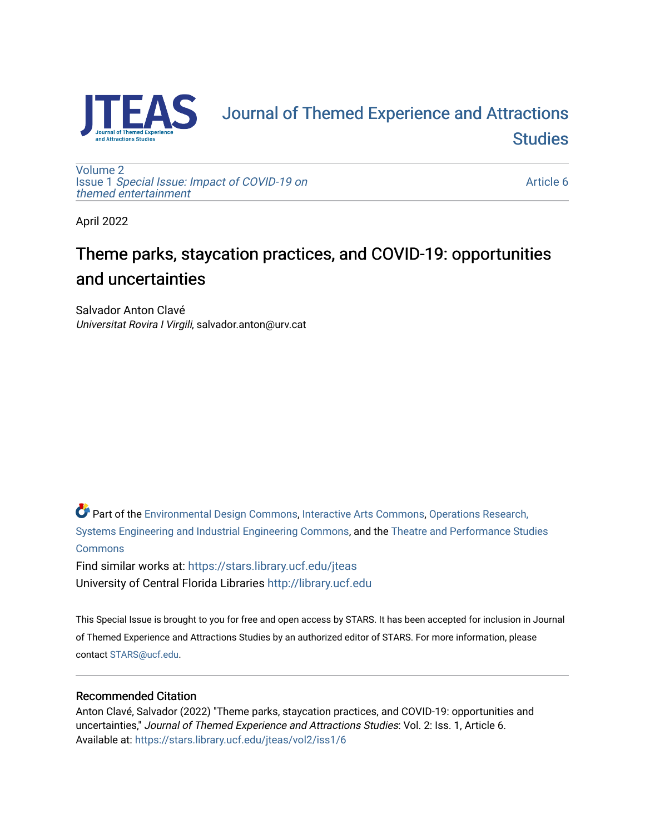

# [Journal of Themed Experience and Attractions](https://stars.library.ucf.edu/jteas)  **Studies**

[Volume 2](https://stars.library.ucf.edu/jteas/vol2) Issue 1 [Special Issue: Impact of COVID-19 on](https://stars.library.ucf.edu/jteas/vol2/iss1)  [themed entertainment](https://stars.library.ucf.edu/jteas/vol2/iss1) 

[Article 6](https://stars.library.ucf.edu/jteas/vol2/iss1/6) 

April 2022

## Theme parks, staycation practices, and COVID-19: opportunities and uncertainties

Salvador Anton Clavé Universitat Rovira I Virgili, salvador.anton@urv.cat

Part of the [Environmental Design Commons,](http://network.bepress.com/hgg/discipline/777?utm_source=stars.library.ucf.edu%2Fjteas%2Fvol2%2Fiss1%2F6&utm_medium=PDF&utm_campaign=PDFCoverPages) [Interactive Arts Commons](http://network.bepress.com/hgg/discipline/1136?utm_source=stars.library.ucf.edu%2Fjteas%2Fvol2%2Fiss1%2F6&utm_medium=PDF&utm_campaign=PDFCoverPages), [Operations Research,](http://network.bepress.com/hgg/discipline/305?utm_source=stars.library.ucf.edu%2Fjteas%2Fvol2%2Fiss1%2F6&utm_medium=PDF&utm_campaign=PDFCoverPages)  [Systems Engineering and Industrial Engineering Commons](http://network.bepress.com/hgg/discipline/305?utm_source=stars.library.ucf.edu%2Fjteas%2Fvol2%2Fiss1%2F6&utm_medium=PDF&utm_campaign=PDFCoverPages), and the [Theatre and Performance Studies](http://network.bepress.com/hgg/discipline/552?utm_source=stars.library.ucf.edu%2Fjteas%2Fvol2%2Fiss1%2F6&utm_medium=PDF&utm_campaign=PDFCoverPages)  [Commons](http://network.bepress.com/hgg/discipline/552?utm_source=stars.library.ucf.edu%2Fjteas%2Fvol2%2Fiss1%2F6&utm_medium=PDF&utm_campaign=PDFCoverPages)

Find similar works at: <https://stars.library.ucf.edu/jteas> University of Central Florida Libraries [http://library.ucf.edu](http://library.ucf.edu/) 

This Special Issue is brought to you for free and open access by STARS. It has been accepted for inclusion in Journal of Themed Experience and Attractions Studies by an authorized editor of STARS. For more information, please contact [STARS@ucf.edu.](mailto:STARS@ucf.edu)

### Recommended Citation

Anton Clavé, Salvador (2022) "Theme parks, staycation practices, and COVID-19: opportunities and uncertainties," Journal of Themed Experience and Attractions Studies: Vol. 2: Iss. 1, Article 6. Available at: [https://stars.library.ucf.edu/jteas/vol2/iss1/6](https://stars.library.ucf.edu/jteas/vol2/iss1/6?utm_source=stars.library.ucf.edu%2Fjteas%2Fvol2%2Fiss1%2F6&utm_medium=PDF&utm_campaign=PDFCoverPages)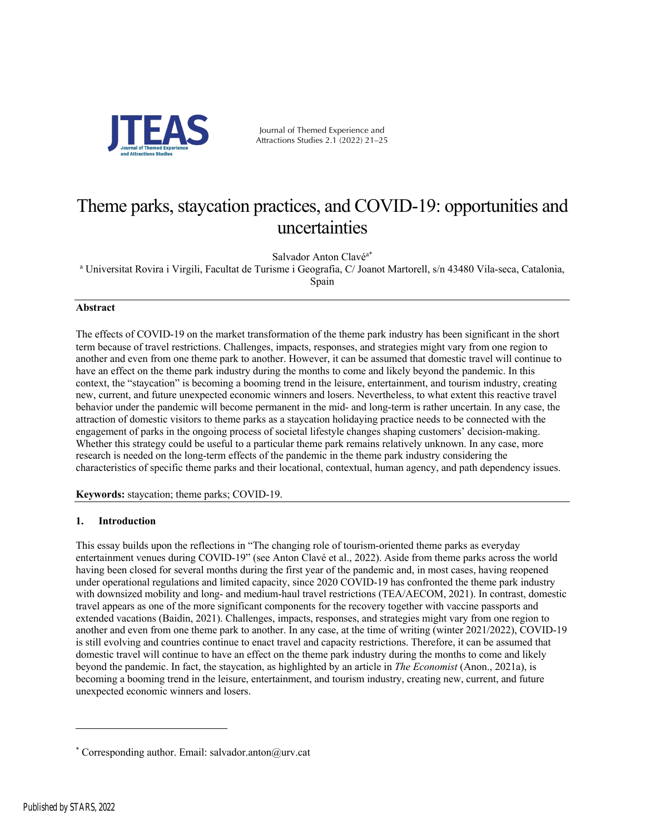

Journal of Themed Experience and Attractions Studies 2.1 (2022) 21–25

## Theme parks, staycation practices, and COVID-19: opportunities and uncertainties

Salvador Anton Clavéa\*

<sup>a</sup> Universitat Rovira i Virgili, Facultat de Turisme i Geografia, C/ Joanot Martorell, s/n 43480 Vila-seca, Catalonia, Spain

#### **Abstract**

The effects of COVID-19 on the market transformation of the theme park industry has been significant in the short term because of travel restrictions. Challenges, impacts, responses, and strategies might vary from one region to another and even from one theme park to another. However, it can be assumed that domestic travel will continue to have an effect on the theme park industry during the months to come and likely beyond the pandemic. In this context, the "staycation" is becoming a booming trend in the leisure, entertainment, and tourism industry, creating new, current, and future unexpected economic winners and losers. Nevertheless, to what extent this reactive travel behavior under the pandemic will become permanent in the mid- and long-term is rather uncertain. In any case, the attraction of domestic visitors to theme parks as a staycation holidaying practice needs to be connected with the engagement of parks in the ongoing process of societal lifestyle changes shaping customers' decision-making. Whether this strategy could be useful to a particular theme park remains relatively unknown. In any case, more research is needed on the long-term effects of the pandemic in the theme park industry considering the characteristics of specific theme parks and their locational, contextual, human agency, and path dependency issues.

**Keywords:** staycation; theme parks; COVID-19.

#### **1. Introduction**

This essay builds upon the reflections in "The changing role of tourism-oriented theme parks as everyday entertainment venues during COVID-19" (see Anton Clavé et al., 2022). Aside from theme parks across the world having been closed for several months during the first year of the pandemic and, in most cases, having reopened under operational regulations and limited capacity, since 2020 COVID-19 has confronted the theme park industry with downsized mobility and long- and medium-haul travel restrictions (TEA/AECOM, 2021). In contrast, domestic travel appears as one of the more significant components for the recovery together with vaccine passports and extended vacations (Baidin, 2021). Challenges, impacts, responses, and strategies might vary from one region to another and even from one theme park to another. In any case, at the time of writing (winter 2021/2022), COVID-19 is still evolving and countries continue to enact travel and capacity restrictions. Therefore, it can be assumed that domestic travel will continue to have an effect on the theme park industry during the months to come and likely beyond the pandemic. In fact, the staycation, as highlighted by an article in *The Economist* (Anon., 2021a), is becoming a booming trend in the leisure, entertainment, and tourism industry, creating new, current, and future unexpected economic winners and losers.

<sup>\*</sup> Corresponding author. Email: salvador.anton@urv.cat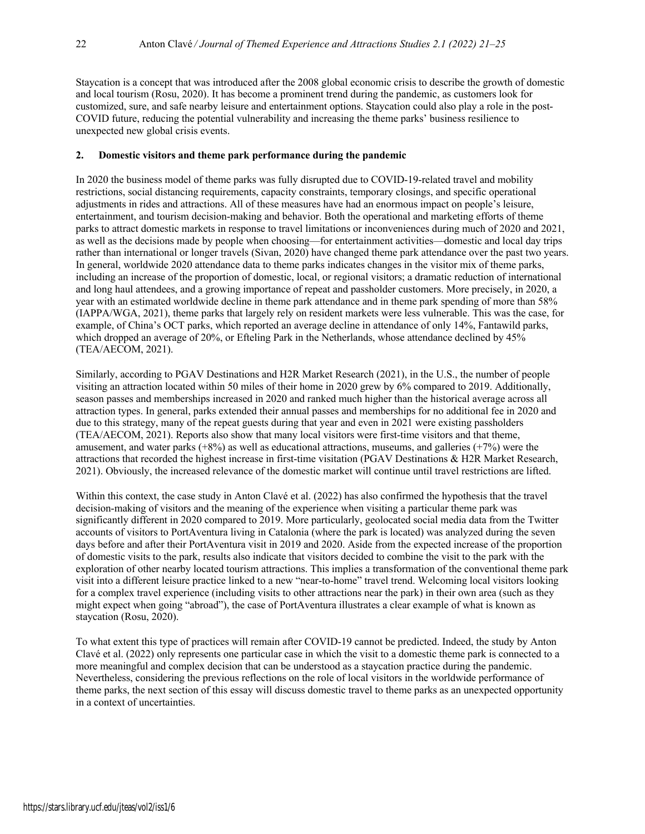Staycation is a concept that was introduced after the 2008 global economic crisis to describe the growth of domestic and local tourism (Rosu, 2020). It has become a prominent trend during the pandemic, as customers look for customized, sure, and safe nearby leisure and entertainment options. Staycation could also play a role in the post-COVID future, reducing the potential vulnerability and increasing the theme parks' business resilience to unexpected new global crisis events.

### **2. Domestic visitors and theme park performance during the pandemic**

In 2020 the business model of theme parks was fully disrupted due to COVID-19-related travel and mobility restrictions, social distancing requirements, capacity constraints, temporary closings, and specific operational adjustments in rides and attractions. All of these measures have had an enormous impact on people's leisure, entertainment, and tourism decision-making and behavior. Both the operational and marketing efforts of theme parks to attract domestic markets in response to travel limitations or inconveniences during much of 2020 and 2021, as well as the decisions made by people when choosing—for entertainment activities—domestic and local day trips rather than international or longer travels (Sivan, 2020) have changed theme park attendance over the past two years. In general, worldwide 2020 attendance data to theme parks indicates changes in the visitor mix of theme parks, including an increase of the proportion of domestic, local, or regional visitors; a dramatic reduction of international and long haul attendees, and a growing importance of repeat and passholder customers. More precisely, in 2020, a year with an estimated worldwide decline in theme park attendance and in theme park spending of more than 58% (IAPPA/WGA, 2021), theme parks that largely rely on resident markets were less vulnerable. This was the case, for example, of China's OCT parks, which reported an average decline in attendance of only 14%, Fantawild parks, which dropped an average of 20%, or Efteling Park in the Netherlands, whose attendance declined by 45% (TEA/AECOM, 2021).

Similarly, according to PGAV Destinations and H2R Market Research (2021), in the U.S., the number of people visiting an attraction located within 50 miles of their home in 2020 grew by 6% compared to 2019. Additionally, season passes and memberships increased in 2020 and ranked much higher than the historical average across all attraction types. In general, parks extended their annual passes and memberships for no additional fee in 2020 and due to this strategy, many of the repeat guests during that year and even in 2021 were existing passholders (TEA/AECOM, 2021). Reports also show that many local visitors were first-time visitors and that theme, amusement, and water parks  $(+8%)$  as well as educational attractions, museums, and galleries  $(+7%)$  were the attractions that recorded the highest increase in first-time visitation (PGAV Destinations & H2R Market Research, 2021). Obviously, the increased relevance of the domestic market will continue until travel restrictions are lifted.

Within this context, the case study in Anton Clavé et al. (2022) has also confirmed the hypothesis that the travel decision-making of visitors and the meaning of the experience when visiting a particular theme park was significantly different in 2020 compared to 2019. More particularly, geolocated social media data from the Twitter accounts of visitors to PortAventura living in Catalonia (where the park is located) was analyzed during the seven days before and after their PortAventura visit in 2019 and 2020. Aside from the expected increase of the proportion of domestic visits to the park, results also indicate that visitors decided to combine the visit to the park with the exploration of other nearby located tourism attractions. This implies a transformation of the conventional theme park visit into a different leisure practice linked to a new "near-to-home" travel trend. Welcoming local visitors looking for a complex travel experience (including visits to other attractions near the park) in their own area (such as they might expect when going "abroad"), the case of PortAventura illustrates a clear example of what is known as staycation (Rosu, 2020).

To what extent this type of practices will remain after COVID-19 cannot be predicted. Indeed, the study by Anton Clavé et al. (2022) only represents one particular case in which the visit to a domestic theme park is connected to a more meaningful and complex decision that can be understood as a staycation practice during the pandemic. Nevertheless, considering the previous reflections on the role of local visitors in the worldwide performance of theme parks, the next section of this essay will discuss domestic travel to theme parks as an unexpected opportunity in a context of uncertainties.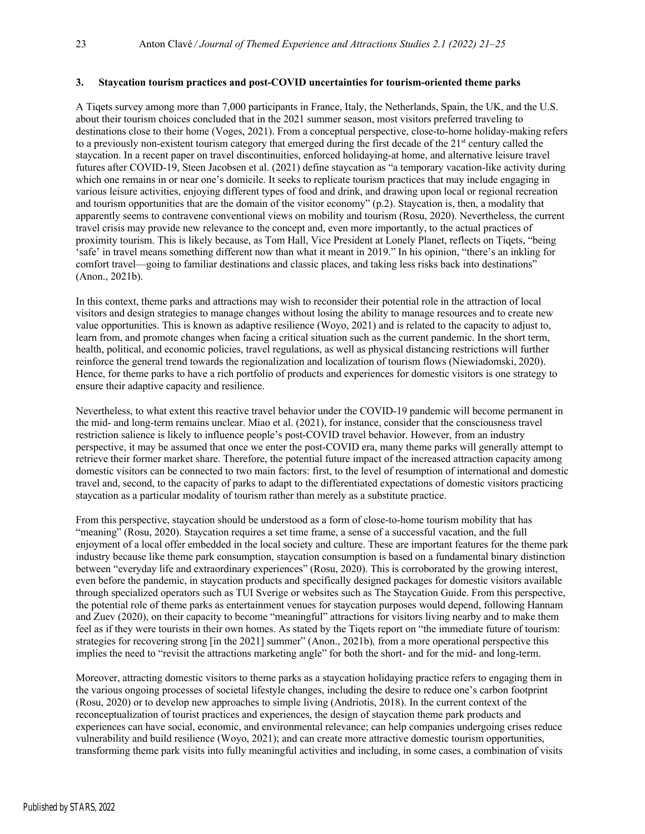#### **3. Staycation tourism practices and post-COVID uncertainties for tourism-oriented theme parks**

A Tiqets survey among more than 7,000 participants in France, Italy, the Netherlands, Spain, the UK, and the U.S. about their tourism choices concluded that in the 2021 summer season, most visitors preferred traveling to destinations close to their home (Voges, 2021). From a conceptual perspective, close-to-home holiday-making refers to a previously non-existent tourism category that emerged during the first decade of the  $21<sup>st</sup>$  century called the staycation. In a recent paper on travel discontinuities, enforced holidaying-at home, and alternative leisure travel futures after COVID-19, Steen Jacobsen et al. (2021) define staycation as "a temporary vacation-like activity during which one remains in or near one's domicile. It seeks to replicate tourism practices that may include engaging in various leisure activities, enjoying different types of food and drink, and drawing upon local or regional recreation and tourism opportunities that are the domain of the visitor economy" (p.2). Staycation is, then, a modality that apparently seems to contravene conventional views on mobility and tourism (Rosu, 2020). Nevertheless, the current travel crisis may provide new relevance to the concept and, even more importantly, to the actual practices of proximity tourism. This is likely because, as Tom Hall, Vice President at Lonely Planet, reflects on Tiqets, "being 'safe' in travel means something different now than what it meant in 2019." In his opinion, "there's an inkling for comfort travel—going to familiar destinations and classic places, and taking less risks back into destinations" (Anon., 2021b).

In this context, theme parks and attractions may wish to reconsider their potential role in the attraction of local visitors and design strategies to manage changes without losing the ability to manage resources and to create new value opportunities. This is known as adaptive resilience (Woyo, 2021) and is related to the capacity to adjust to, learn from, and promote changes when facing a critical situation such as the current pandemic. In the short term, health, political, and economic policies, travel regulations, as well as physical distancing restrictions will further reinforce the general trend towards the regionalization and localization of tourism flows (Niewiadomski, 2020). Hence, for theme parks to have a rich portfolio of products and experiences for domestic visitors is one strategy to ensure their adaptive capacity and resilience.

Nevertheless, to what extent this reactive travel behavior under the COVID-19 pandemic will become permanent in the mid- and long-term remains unclear. Miao et al. (2021), for instance, consider that the consciousness travel restriction salience is likely to influence people's post-COVID travel behavior. However, from an industry perspective, it may be assumed that once we enter the post-COVID era, many theme parks will generally attempt to retrieve their former market share. Therefore, the potential future impact of the increased attraction capacity among domestic visitors can be connected to two main factors: first, to the level of resumption of international and domestic travel and, second, to the capacity of parks to adapt to the differentiated expectations of domestic visitors practicing staycation as a particular modality of tourism rather than merely as a substitute practice.

From this perspective, staycation should be understood as a form of close-to-home tourism mobility that has "meaning" (Rosu, 2020). Staycation requires a set time frame, a sense of a successful vacation, and the full enjoyment of a local offer embedded in the local society and culture. These are important features for the theme park industry because like theme park consumption, staycation consumption is based on a fundamental binary distinction between "everyday life and extraordinary experiences" (Rosu, 2020). This is corroborated by the growing interest, even before the pandemic, in staycation products and specifically designed packages for domestic visitors available through specialized operators such as TUI Sverige or websites such as The Staycation Guide. From this perspective, the potential role of theme parks as entertainment venues for staycation purposes would depend, following Hannam and Zuev (2020), on their capacity to become "meaningful" attractions for visitors living nearby and to make them feel as if they were tourists in their own homes. As stated by the Tiqets report on "the immediate future of tourism: strategies for recovering strong [in the 2021] summer" (Anon., 2021b)*,* from a more operational perspective this implies the need to "revisit the attractions marketing angle" for both the short- and for the mid- and long-term.

Moreover, attracting domestic visitors to theme parks as a staycation holidaying practice refers to engaging them in the various ongoing processes of societal lifestyle changes, including the desire to reduce one's carbon footprint (Rosu, 2020) or to develop new approaches to simple living (Andriotis, 2018). In the current context of the reconceptualization of tourist practices and experiences, the design of staycation theme park products and experiences can have social, economic, and environmental relevance; can help companies undergoing crises reduce vulnerability and build resilience (Woyo, 2021); and can create more attractive domestic tourism opportunities, transforming theme park visits into fully meaningful activities and including, in some cases, a combination of visits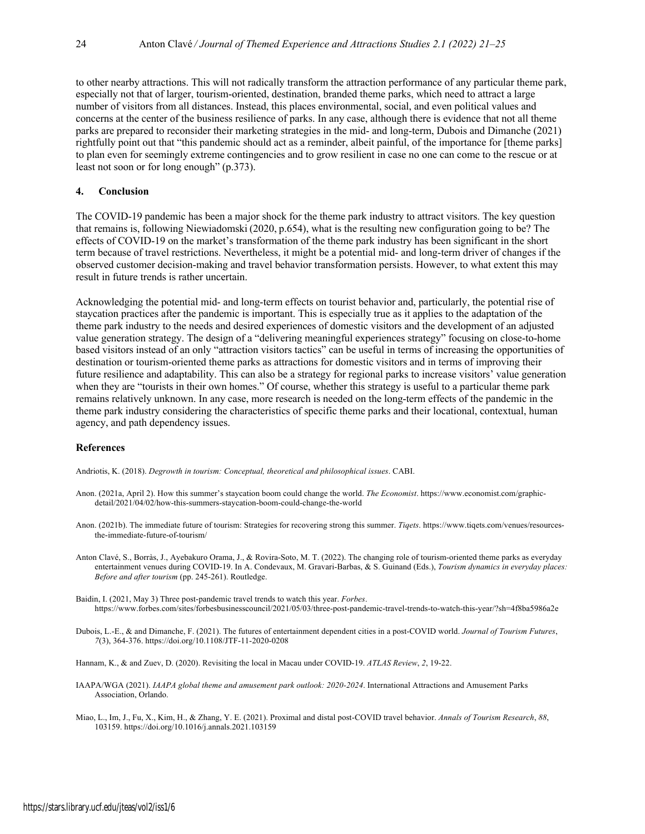to other nearby attractions. This will not radically transform the attraction performance of any particular theme park, especially not that of larger, tourism-oriented, destination, branded theme parks, which need to attract a large number of visitors from all distances. Instead, this places environmental, social, and even political values and concerns at the center of the business resilience of parks. In any case, although there is evidence that not all theme parks are prepared to reconsider their marketing strategies in the mid- and long-term, Dubois and Dimanche (2021) rightfully point out that "this pandemic should act as a reminder, albeit painful, of the importance for [theme parks] to plan even for seemingly extreme contingencies and to grow resilient in case no one can come to the rescue or at least not soon or for long enough" (p.373).

#### **4. Conclusion**

The COVID-19 pandemic has been a major shock for the theme park industry to attract visitors. The key question that remains is, following Niewiadomski (2020, p.654), what is the resulting new configuration going to be? The effects of COVID-19 on the market's transformation of the theme park industry has been significant in the short term because of travel restrictions. Nevertheless, it might be a potential mid- and long-term driver of changes if the observed customer decision-making and travel behavior transformation persists. However, to what extent this may result in future trends is rather uncertain.

Acknowledging the potential mid- and long-term effects on tourist behavior and, particularly, the potential rise of staycation practices after the pandemic is important. This is especially true as it applies to the adaptation of the theme park industry to the needs and desired experiences of domestic visitors and the development of an adjusted value generation strategy. The design of a "delivering meaningful experiences strategy" focusing on close-to-home based visitors instead of an only "attraction visitors tactics" can be useful in terms of increasing the opportunities of destination or tourism-oriented theme parks as attractions for domestic visitors and in terms of improving their future resilience and adaptability. This can also be a strategy for regional parks to increase visitors' value generation when they are "tourists in their own homes." Of course, whether this strategy is useful to a particular theme park remains relatively unknown. In any case, more research is needed on the long-term effects of the pandemic in the theme park industry considering the characteristics of specific theme parks and their locational, contextual, human agency, and path dependency issues.

#### **References**

Andriotis, K. (2018). *Degrowth in tourism: Conceptual, theoretical and philosophical issues*. CABI.

- Anon. (2021a, April 2). How this summer's staycation boom could change the world. *The Economist*. https://www.economist.com/graphicdetail/2021/04/02/how-this-summers-staycation-boom-could-change-the-world
- Anon. (2021b). The immediate future of tourism: Strategies for recovering strong this summer. *Tiqets*. https://www.tiqets.com/venues/resourcesthe-immediate-future-of-tourism/
- Anton Clavé, S., Borràs, J., Ayebakuro Orama, J., & Rovira-Soto, M. T. (2022). The changing role of tourism-oriented theme parks as everyday entertainment venues during COVID-19. In A. Condevaux, M. Gravari-Barbas, & S. Guinand (Eds.), *Tourism dynamics in everyday places: Before and after tourism* (pp. 245-261). Routledge.
- Baidin, I. (2021, May 3) Three post-pandemic travel trends to watch this year. *Forbes*. https://www.forbes.com/sites/forbesbusinesscouncil/2021/05/03/three-post-pandemic-travel-trends-to-watch-this-year/?sh=4f8ba5986a2e
- Dubois, L.-E., & and Dimanche, F. (2021). The futures of entertainment dependent cities in a post-COVID world. *Journal of Tourism Futures*, *7*(3), 364-376. https://doi.org/10.1108/JTF-11-2020-0208

Hannam, K., & and Zuev, D. (2020). Revisiting the local in Macau under COVID-19. *ATLAS Review*, *2*, 19-22.

- IAAPA/WGA (2021). *IAAPA global theme and amusement park outlook: 2020-2024*. International Attractions and Amusement Parks Association, Orlando.
- Miao, L., Im, J., Fu, X., Kim, H., & Zhang, Y. E. (2021). Proximal and distal post-COVID travel behavior. *Annals of Tourism Research*, *88*, 103159. https://doi.org/10.1016/j.annals.2021.103159